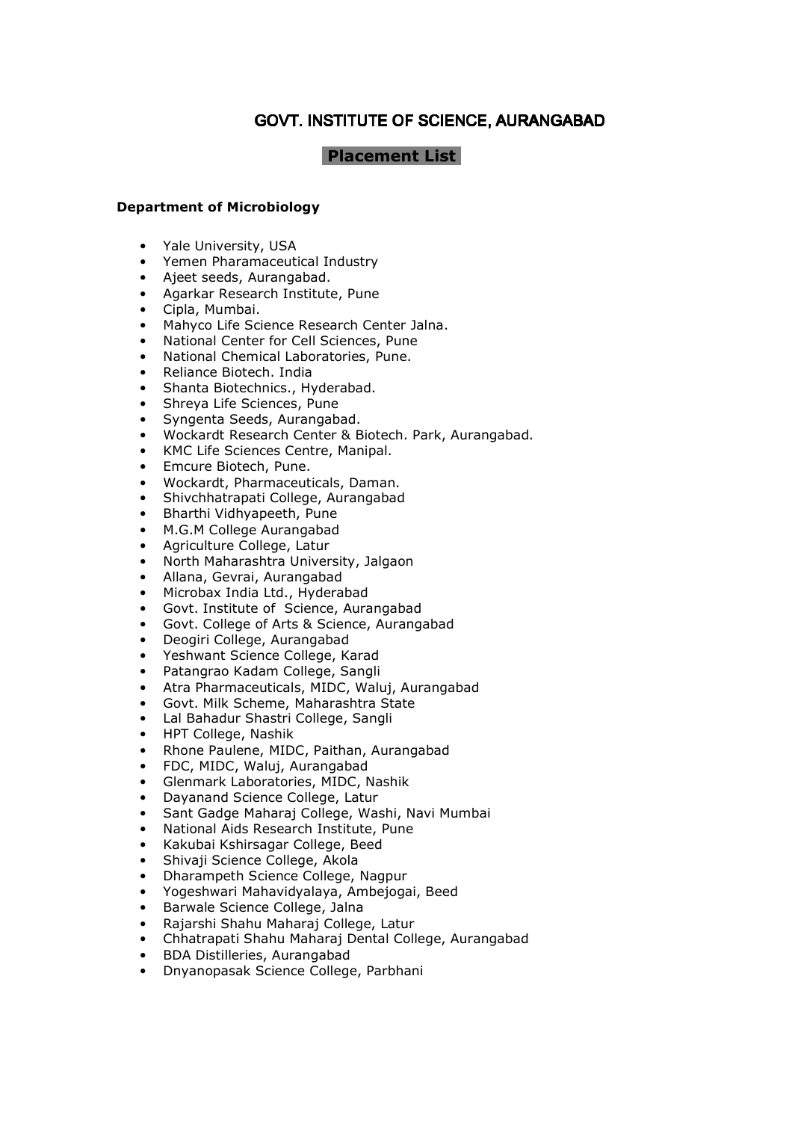# GOVT. INSTITUTE OF SCIENCE, AURANGABAD

## **Placement List**

## Department of Microbiology

- Yale University, USA
- Yemen Pharamaceutical Industry
- Ajeet seeds, Aurangabad.
- Agarkar Research Institute, Pune
- Cipla, Mumbai.
- Mahyco Life Science Research Center Jalna.
- National Center for Cell Sciences, Pune
- National Chemical Laboratories, Pune.
- Reliance Biotech. India
- Shanta Biotechnics., Hyderabad.
- Shreya Life Sciences, Pune
- Syngenta Seeds, Aurangabad.
- Wockardt Research Center & Biotech. Park, Aurangabad.
- KMC Life Sciences Centre, Manipal.
- Emcure Biotech, Pune.
- Wockardt, Pharmaceuticals, Daman.
- Shivchhatrapati College, Aurangabad
- Bharthi Vidhyapeeth, Pune
- M.G.M College Aurangabad
- Agriculture College, Latur
- North Maharashtra University, Jalgaon
- Allana, Gevrai, Aurangabad
- Microbax India Ltd., Hyderabad
- Govt. Institute of Science, Aurangabad
- Govt. College of Arts & Science, Aurangabad
- Deogiri College, Aurangabad
- Yeshwant Science College, Karad
- Patangrao Kadam College, Sangli
- Atra Pharmaceuticals, MIDC, Waluj, Aurangabad
- Govt. Milk Scheme, Maharashtra State
- Lal Bahadur Shastri College, Sangli
- HPT College, Nashik
- Rhone Paulene, MIDC, Paithan, Aurangabad
- FDC, MIDC, Waluj, Aurangabad
- Glenmark Laboratories, MIDC, Nashik
- Dayanand Science College, Latur
- Sant Gadge Maharaj College, Washi, Navi Mumbai
- National Aids Research Institute, Pune
- Kakubai Kshirsagar College, Beed
- Shivaji Science College, Akola
- Dharampeth Science College, Nagpur
- Yogeshwari Mahavidyalaya, Ambejogai, Beed
- Barwale Science College, Jalna
- Rajarshi Shahu Maharaj College, Latur
- Chhatrapati Shahu Maharaj Dental College, Aurangabad
- BDA Distilleries, Aurangabad
- Dnyanopasak Science College, Parbhani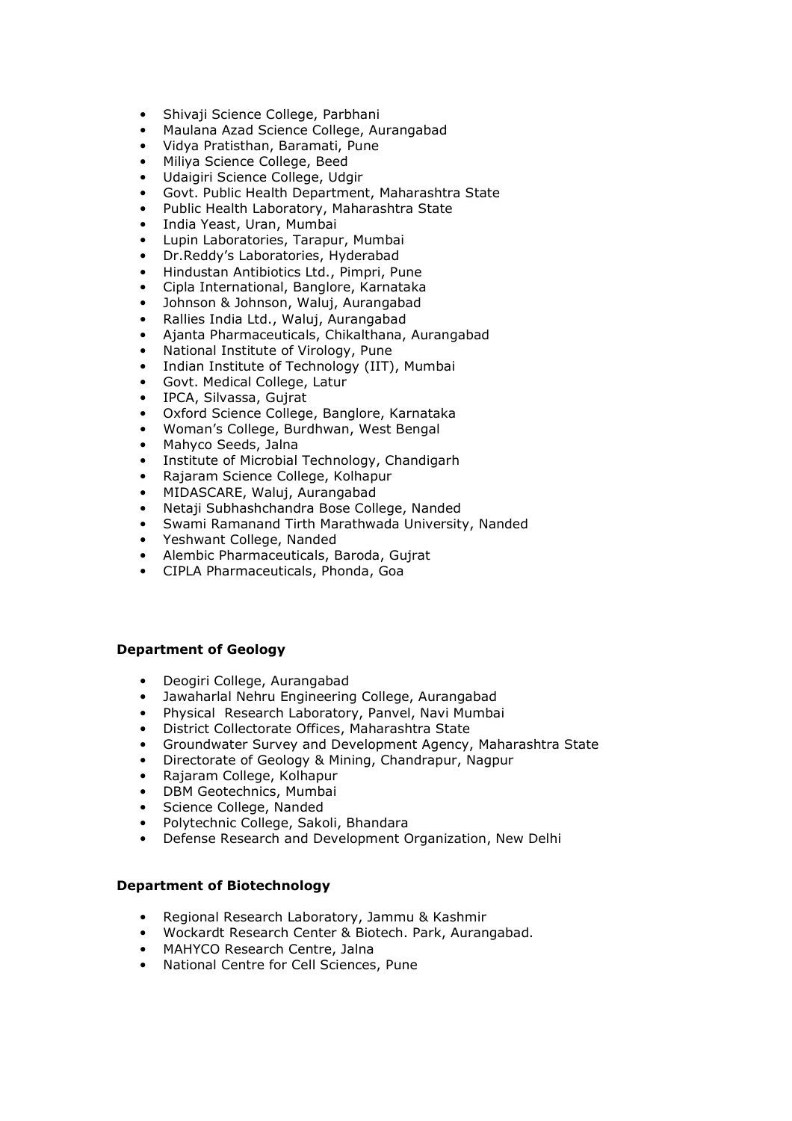- Shivaji Science College, Parbhani
- Maulana Azad Science College, Aurangabad
- Vidya Pratisthan, Baramati, Pune
- Miliya Science College, Beed
- Udaigiri Science College, Udgir
- Govt. Public Health Department, Maharashtra State
- Public Health Laboratory, Maharashtra State
- India Yeast, Uran, Mumbai
- Lupin Laboratories, Tarapur, Mumbai
- Dr.Reddy's Laboratories, Hyderabad
- Hindustan Antibiotics Ltd., Pimpri, Pune
- Cipla International, Banglore, Karnataka
- Johnson & Johnson, Waluj, Aurangabad
- Rallies India Ltd., Waluj, Aurangabad
- Ajanta Pharmaceuticals, Chikalthana, Aurangabad
- National Institute of Virology, Pune
- Indian Institute of Technology (IIT), Mumbai
- Govt. Medical College, Latur
- IPCA, Silvassa, Gujrat
- Oxford Science College, Banglore, Karnataka
- Woman's College, Burdhwan, West Bengal
- Mahyco Seeds, Jalna
- Institute of Microbial Technology, Chandigarh
- Rajaram Science College, Kolhapur<br>• MIDASCARE, Walui, Aurangahad
- MIDASCARE, Waluj, Aurangabad
- Netaji Subhashchandra Bose College, Nanded
- Swami Ramanand Tirth Marathwada University, Nanded
- Yeshwant College, Nanded
- Alembic Pharmaceuticals, Baroda, Gujrat
- CIPLA Pharmaceuticals, Phonda, Goa

#### Department of Geology

- Deogiri College, Aurangabad
- Jawaharlal Nehru Engineering College, Aurangabad
- Physical Research Laboratory, Panvel, Navi Mumbai
- District Collectorate Offices, Maharashtra State
- Groundwater Survey and Development Agency, Maharashtra State
- Directorate of Geology & Mining, Chandrapur, Nagpur
- Rajaram College, Kolhapur
- DBM Geotechnics, Mumbai
- Science College, Nanded
- Polytechnic College, Sakoli, Bhandara
- Defense Research and Development Organization, New Delhi

#### Department of Biotechnology

- Regional Research Laboratory, Jammu & Kashmir
- Wockardt Research Center & Biotech. Park, Aurangabad.
- MAHYCO Research Centre, Jalna
- National Centre for Cell Sciences, Pune